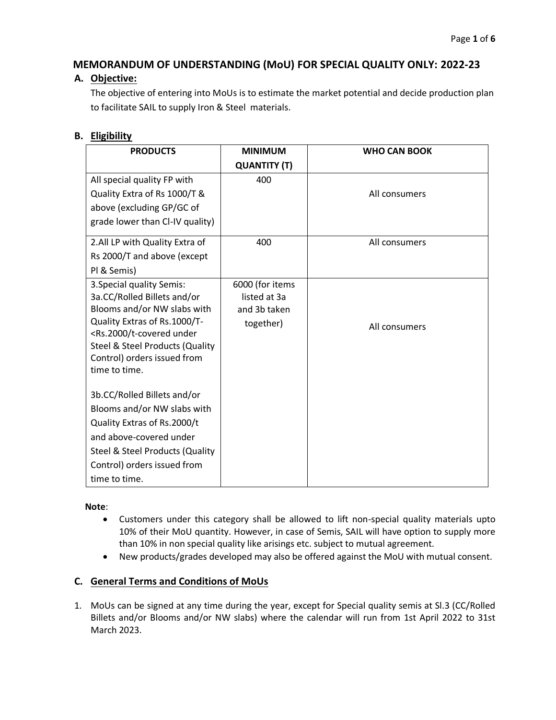# **MEMORANDUM OF UNDERSTANDING (MoU) FOR SPECIAL QUALITY ONLY: 2022-23**

### **A. Objective:**

The objective of entering into MoUs is to estimate the market potential and decide production plan to facilitate SAIL to supply Iron & Steel materials.

## **B. Eligibility**

| <b>PRODUCTS</b>                                                                                                          | <b>MINIMUM</b>      | <b>WHO CAN BOOK</b> |
|--------------------------------------------------------------------------------------------------------------------------|---------------------|---------------------|
|                                                                                                                          | <b>QUANTITY (T)</b> |                     |
| All special quality FP with                                                                                              | 400                 |                     |
| Quality Extra of Rs 1000/T &                                                                                             |                     | All consumers       |
| above (excluding GP/GC of                                                                                                |                     |                     |
| grade lower than CI-IV quality)                                                                                          |                     |                     |
| 2.All LP with Quality Extra of                                                                                           | 400                 | All consumers       |
| Rs 2000/T and above (except                                                                                              |                     |                     |
| PI & Semis)                                                                                                              |                     |                     |
| 3. Special quality Semis:                                                                                                | 6000 (for items     |                     |
| 3a.CC/Rolled Billets and/or                                                                                              | listed at 3a        |                     |
| Blooms and/or NW slabs with                                                                                              | and 3b taken        |                     |
| Quality Extras of Rs.1000/T-<br><rs.2000 t-covered="" td="" under<=""><td>together)</td><td>All consumers</td></rs.2000> | together)           | All consumers       |
| Steel & Steel Products (Quality                                                                                          |                     |                     |
| Control) orders issued from                                                                                              |                     |                     |
| time to time.                                                                                                            |                     |                     |
|                                                                                                                          |                     |                     |
| 3b.CC/Rolled Billets and/or                                                                                              |                     |                     |
| Blooms and/or NW slabs with                                                                                              |                     |                     |
| Quality Extras of Rs.2000/t                                                                                              |                     |                     |
| and above-covered under                                                                                                  |                     |                     |
| <b>Steel &amp; Steel Products (Quality</b>                                                                               |                     |                     |
| Control) orders issued from                                                                                              |                     |                     |
| time to time.                                                                                                            |                     |                     |

#### **Note**:

- Customers under this category shall be allowed to lift non-special quality materials upto 10% of their MoU quantity. However, in case of Semis, SAIL will have option to supply more than 10% in non special quality like arisings etc. subject to mutual agreement.
- New products/grades developed may also be offered against the MoU with mutual consent.

### **C. General Terms and Conditions of MoUs**

1. MoUs can be signed at any time during the year, except for Special quality semis at Sl.3 (CC/Rolled Billets and/or Blooms and/or NW slabs) where the calendar will run from 1st April 2022 to 31st March 2023.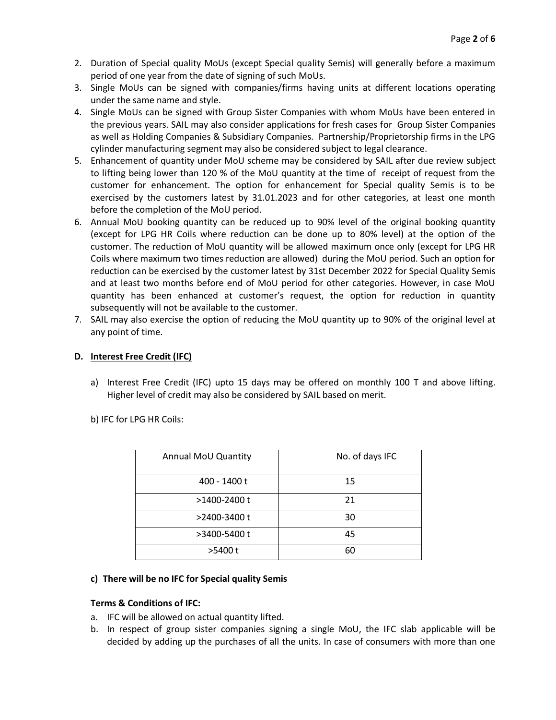- 2. Duration of Special quality MoUs (except Special quality Semis) will generally before a maximum period of one year from the date of signing of such MoUs.
- 3. Single MoUs can be signed with companies/firms having units at different locations operating under the same name and style.
- 4. Single MoUs can be signed with Group Sister Companies with whom MoUs have been entered in the previous years. SAIL may also consider applications for fresh cases for Group Sister Companies as well as Holding Companies & Subsidiary Companies. Partnership/Proprietorship firms in the LPG cylinder manufacturing segment may also be considered subject to legal clearance.
- 5. Enhancement of quantity under MoU scheme may be considered by SAIL after due review subject to lifting being lower than 120 % of the MoU quantity at the time of receipt of request from the customer for enhancement. The option for enhancement for Special quality Semis is to be exercised by the customers latest by 31.01.2023 and for other categories, at least one month before the completion of the MoU period.
- 6. Annual MoU booking quantity can be reduced up to 90% level of the original booking quantity (except for LPG HR Coils where reduction can be done up to 80% level) at the option of the customer. The reduction of MoU quantity will be allowed maximum once only (except for LPG HR Coils where maximum two times reduction are allowed) during the MoU period. Such an option for reduction can be exercised by the customer latest by 31st December 2022 for Special Quality Semis and at least two months before end of MoU period for other categories. However, in case MoU quantity has been enhanced at customer's request, the option for reduction in quantity subsequently will not be available to the customer.
- 7. SAIL may also exercise the option of reducing the MoU quantity up to 90% of the original level at any point of time.

#### **D. Interest Free Credit (IFC)**

a) Interest Free Credit (IFC) upto 15 days may be offered on monthly 100 T and above lifting. Higher level of credit may also be considered by SAIL based on merit.

b) IFC for LPG HR Coils:

| Annual MoU Quantity | No. of days IFC |  |  |
|---------------------|-----------------|--|--|
| 400 - 1400 t        | 15              |  |  |
| >1400-2400 t        | 21              |  |  |
| >2400-3400 t        | 30              |  |  |
| >3400-5400 t        | 45              |  |  |
| >5400 t             | 60              |  |  |

#### **c) There will be no IFC for Special quality Semis**

#### **Terms & Conditions of IFC:**

- a. IFC will be allowed on actual quantity lifted.
- b. In respect of group sister companies signing a single MoU, the IFC slab applicable will be decided by adding up the purchases of all the units. In case of consumers with more than one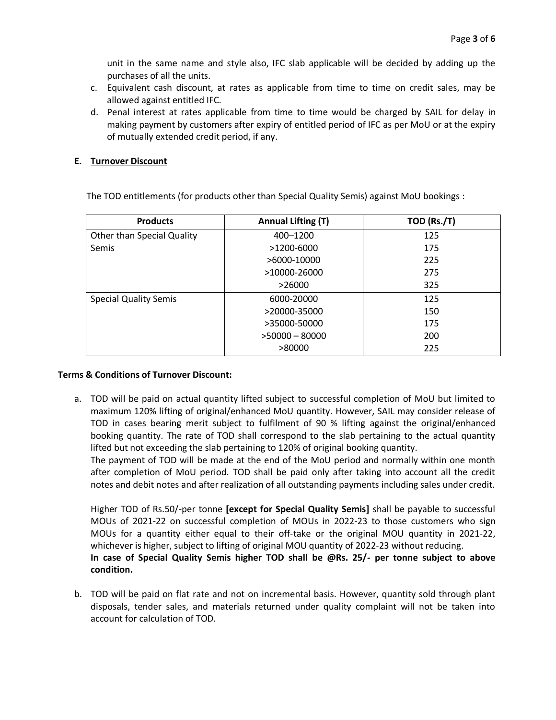unit in the same name and style also, IFC slab applicable will be decided by adding up the purchases of all the units.

- c. Equivalent cash discount, at rates as applicable from time to time on credit sales, may be allowed against entitled IFC.
- d. Penal interest at rates applicable from time to time would be charged by SAIL for delay in making payment by customers after expiry of entitled period of IFC as per MoU or at the expiry of mutually extended credit period, if any.

#### **E. Turnover Discount**

The TOD entitlements (for products other than Special Quality Semis) against MoU bookings :

| <b>Products</b>                   | <b>Annual Lifting (T)</b> | TOD (Rs./T) |  |
|-----------------------------------|---------------------------|-------------|--|
| <b>Other than Special Quality</b> | 400-1200                  | 125         |  |
| Semis                             | >1200-6000                | 175         |  |
|                                   | >6000-10000               | 225         |  |
|                                   | >10000-26000              | 275         |  |
|                                   | >26000                    | 325         |  |
| <b>Special Quality Semis</b>      | 6000-20000                | 125         |  |
|                                   | >20000-35000              | 150         |  |
|                                   | >35000-50000              | 175         |  |
|                                   | $>50000 - 80000$          | 200         |  |
|                                   | >80000                    | 225         |  |

#### **Terms & Conditions of Turnover Discount:**

a. TOD will be paid on actual quantity lifted subject to successful completion of MoU but limited to maximum 120% lifting of original/enhanced MoU quantity. However, SAIL may consider release of TOD in cases bearing merit subject to fulfilment of 90 % lifting against the original/enhanced booking quantity. The rate of TOD shall correspond to the slab pertaining to the actual quantity lifted but not exceeding the slab pertaining to 120% of original booking quantity.

The payment of TOD will be made at the end of the MoU period and normally within one month after completion of MoU period. TOD shall be paid only after taking into account all the credit notes and debit notes and after realization of all outstanding payments including sales under credit.

Higher TOD of Rs.50/-per tonne **[except for Special Quality Semis]** shall be payable to successful MOUs of 2021-22 on successful completion of MOUs in 2022-23 to those customers who sign MOUs for a quantity either equal to their off-take or the original MOU quantity in 2021-22, whichever is higher, subject to lifting of original MOU quantity of 2022-23 without reducing. **In case of Special Quality Semis higher TOD shall be @Rs. 25/- per tonne subject to above condition.**

b. TOD will be paid on flat rate and not on incremental basis. However, quantity sold through plant disposals, tender sales, and materials returned under quality complaint will not be taken into account for calculation of TOD.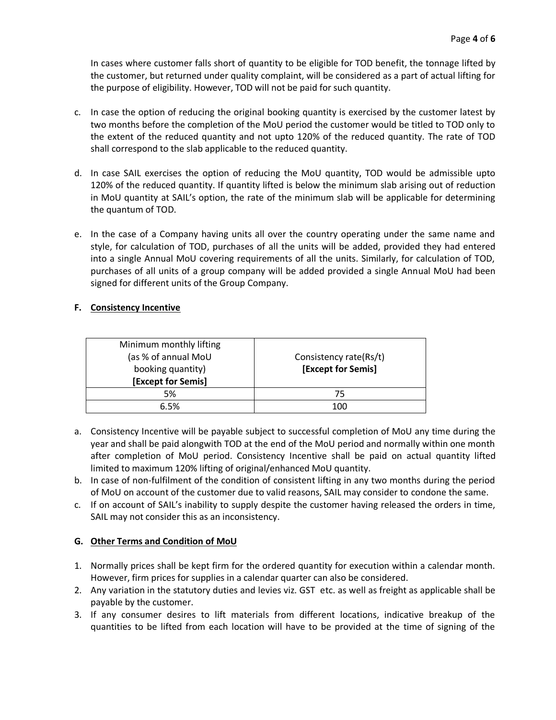In cases where customer falls short of quantity to be eligible for TOD benefit, the tonnage lifted by the customer, but returned under quality complaint, will be considered as a part of actual lifting for the purpose of eligibility. However, TOD will not be paid for such quantity.

- c. In case the option of reducing the original booking quantity is exercised by the customer latest by two months before the completion of the MoU period the customer would be titled to TOD only to the extent of the reduced quantity and not upto 120% of the reduced quantity. The rate of TOD shall correspond to the slab applicable to the reduced quantity.
- d. In case SAIL exercises the option of reducing the MoU quantity, TOD would be admissible upto 120% of the reduced quantity. If quantity lifted is below the minimum slab arising out of reduction in MoU quantity at SAIL's option, the rate of the minimum slab will be applicable for determining the quantum of TOD.
- e. In the case of a Company having units all over the country operating under the same name and style, for calculation of TOD, purchases of all the units will be added, provided they had entered into a single Annual MoU covering requirements of all the units. Similarly, for calculation of TOD, purchases of all units of a group company will be added provided a single Annual MoU had been signed for different units of the Group Company.

#### **F. Consistency Incentive**

| Minimum monthly lifting<br>(as % of annual MoU<br>booking quantity)<br><b>[Except for Semis]</b> | Consistency rate(Rs/t)<br>[Except for Semis] |  |
|--------------------------------------------------------------------------------------------------|----------------------------------------------|--|
| 5%                                                                                               | 75                                           |  |
| 6.5%                                                                                             | 100                                          |  |

- a. Consistency Incentive will be payable subject to successful completion of MoU any time during the year and shall be paid alongwith TOD at the end of the MoU period and normally within one month after completion of MoU period. Consistency Incentive shall be paid on actual quantity lifted limited to maximum 120% lifting of original/enhanced MoU quantity.
- b. In case of non-fulfilment of the condition of consistent lifting in any two months during the period of MoU on account of the customer due to valid reasons, SAIL may consider to condone the same.
- c. If on account of SAIL's inability to supply despite the customer having released the orders in time, SAIL may not consider this as an inconsistency.

#### **G. Other Terms and Condition of MoU**

- 1. Normally prices shall be kept firm for the ordered quantity for execution within a calendar month. However, firm prices for supplies in a calendar quarter can also be considered.
- 2. Any variation in the statutory duties and levies viz. GST etc. as well as freight as applicable shall be payable by the customer.
- 3. If any consumer desires to lift materials from different locations, indicative breakup of the quantities to be lifted from each location will have to be provided at the time of signing of the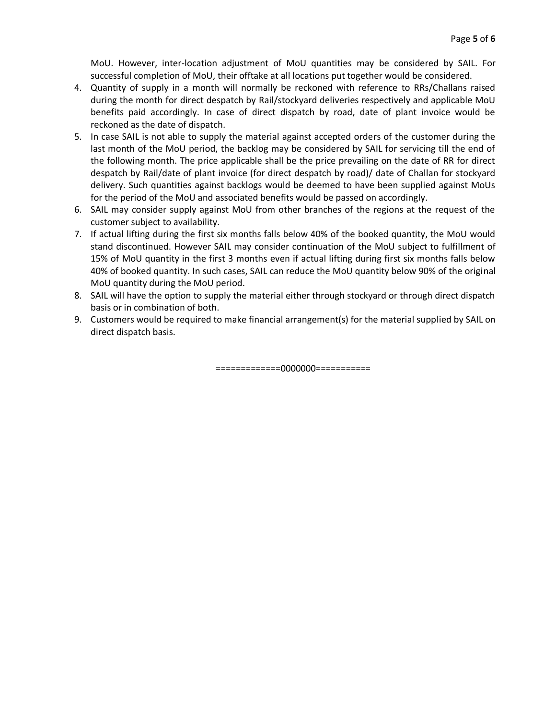MoU. However, inter-location adjustment of MoU quantities may be considered by SAIL. For successful completion of MoU, their offtake at all locations put together would be considered.

- 4. Quantity of supply in a month will normally be reckoned with reference to RRs/Challans raised during the month for direct despatch by Rail/stockyard deliveries respectively and applicable MoU benefits paid accordingly. In case of direct dispatch by road, date of plant invoice would be reckoned as the date of dispatch.
- 5. In case SAIL is not able to supply the material against accepted orders of the customer during the last month of the MoU period, the backlog may be considered by SAIL for servicing till the end of the following month. The price applicable shall be the price prevailing on the date of RR for direct despatch by Rail/date of plant invoice (for direct despatch by road)/ date of Challan for stockyard delivery. Such quantities against backlogs would be deemed to have been supplied against MoUs for the period of the MoU and associated benefits would be passed on accordingly.
- 6. SAIL may consider supply against MoU from other branches of the regions at the request of the customer subject to availability.
- 7. If actual lifting during the first six months falls below 40% of the booked quantity, the MoU would stand discontinued. However SAIL may consider continuation of the MoU subject to fulfillment of 15% of MoU quantity in the first 3 months even if actual lifting during first six months falls below 40% of booked quantity. In such cases, SAIL can reduce the MoU quantity below 90% of the original MoU quantity during the MoU period.
- 8. SAIL will have the option to supply the material either through stockyard or through direct dispatch basis or in combination of both.
- 9. Customers would be required to make financial arrangement(s) for the material supplied by SAIL on direct dispatch basis.

=============0000000===========